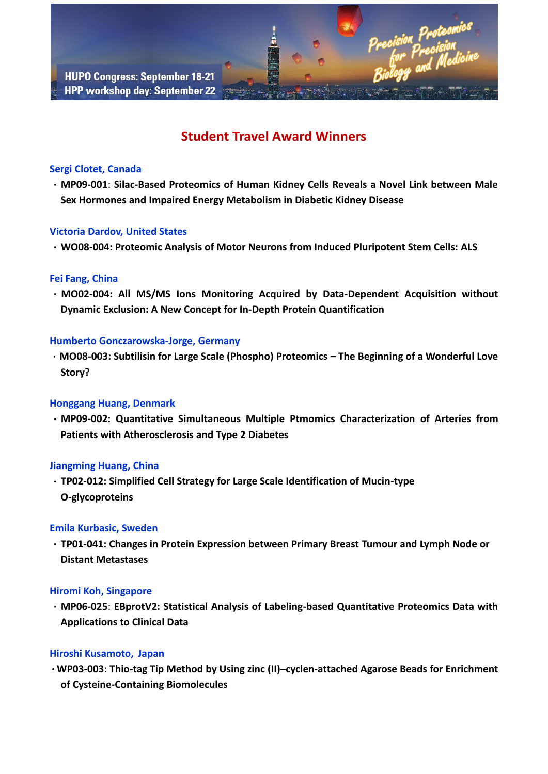# **Student Travel Award Winners**

# **Sergi Clotet, Canada**

.**MP09-001**: **Silac-Based Proteomics of Human Kidney Cells Reveals a Novel Link between Male Sex Hormones and Impaired Energy Metabolism in Diabetic Kidney Disease**

# **Victoria Dardov, United States**

.**WO08-004: Proteomic Analysis of Motor Neurons from Induced Pluripotent Stem Cells: ALS**

# **Fei Fang, China**

.**MO02-004: All MS/MS Ions Monitoring Acquired by Data-Dependent Acquisition without Dynamic Exclusion: A New Concept for In-Depth Protein Quantification**

## **Humberto Gonczarowska-Jorge, Germany**

.**MO08-003: Subtilisin for Large Scale (Phospho) Proteomics – The Beginning of a Wonderful Love Story?**

# **Honggang Huang, Denmark**

.**MP09-002: Quantitative Simultaneous Multiple Ptmomics Characterization of Arteries from Patients with Atherosclerosis and Type 2 Diabetes**

# **Jiangming Huang, China**

.**TP02-012: Simplified Cell Strategy for Large Scale Identification of Mucin-type O-glycoproteins**

# **Emila Kurbasic, Sweden**

.**TP01-041: Changes in Protein Expression between Primary Breast Tumour and Lymph Node or Distant Metastases**

# **Hiromi Koh, Singapore**

.**MP06-025**: **EBprotV2: Statistical Analysis of Labeling-based Quantitative Proteomics Data with Applications to Clinical Data**

# **Hiroshi Kusamoto, Japan**

.**WP03-003**: **Thio-tag Tip Method by Using zinc (II)–cyclen-attached Agarose Beads for Enrichment of Cysteine-Containing Biomolecules**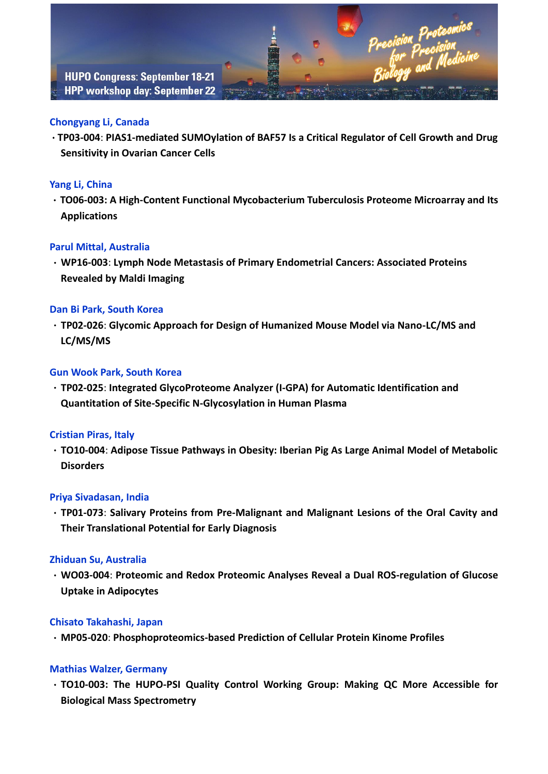# **Chongyang Li, Canada**

.**TP03-004**: **PIAS1-mediated SUMOylation of BAF57 Is a Critical Regulator of Cell Growth and Drug Sensitivity in Ovarian Cancer Cells**

# **Yang Li, China**

.**TO06-003: A High-Content Functional Mycobacterium Tuberculosis Proteome Microarray and Its Applications**

# **Parul Mittal, Australia**

.**WP16-003**: **Lymph Node Metastasis of Primary Endometrial Cancers: Associated Proteins Revealed by Maldi Imaging**

## **Dan Bi Park, South Korea**

.**TP02-026**: **Glycomic Approach for Design of Humanized Mouse Model via Nano-LC/MS and LC/MS/MS**

## **Gun Wook Park, South Korea**

.**TP02-025**: **Integrated GlycoProteome Analyzer (I-GPA) for Automatic Identification and Quantitation of Site-Specific N-Glycosylation in Human Plasma**

#### **Cristian Piras, Italy**

.**TO10-004**: **Adipose Tissue Pathways in Obesity: Iberian Pig As Large Animal Model of Metabolic Disorders**

#### **Priya Sivadasan, India**

.**TP01-073**: **Salivary Proteins from Pre-Malignant and Malignant Lesions of the Oral Cavity and Their Translational Potential for Early Diagnosis**

#### **Zhiduan Su, Australia**

.**WO03-004**: **Proteomic and Redox Proteomic Analyses Reveal a Dual ROS-regulation of Glucose Uptake in Adipocytes**

#### **Chisato Takahashi, Japan**

.**MP05-020**: **Phosphoproteomics-based Prediction of Cellular Protein Kinome Profiles**

#### **Mathias Walzer, Germany**

.**TO10-003: The HUPO-PSI Quality Control Working Group: Making QC More Accessible for Biological Mass Spectrometry**